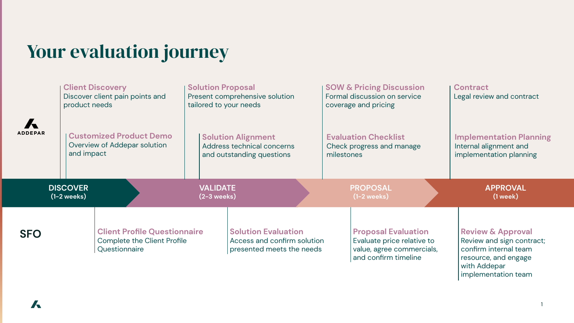## Your evaluation journey

| <b>ADDEPAR</b> | product needs<br>and impact      | <b>Client Discovery</b><br>Discover client pain points and<br><b>Customized Product Demo</b><br>Overview of Addepar solution | <b>Solution Proposal</b><br>tailored to your needs | Present comprehensive solution<br><b>Solution Alignment</b><br>Address technical concerns<br>and outstanding questions | <b>SOW &amp; Pricing Discussion</b><br>Formal discussion on service<br>coverage and pricing<br><b>Evaluation Checklist</b><br>Check progress and manage<br>milestones | <b>Contract</b><br>Legal review and contract<br><b>Implementation Planning</b><br>Internal alignment and<br>implementation planning               |
|----------------|----------------------------------|------------------------------------------------------------------------------------------------------------------------------|----------------------------------------------------|------------------------------------------------------------------------------------------------------------------------|-----------------------------------------------------------------------------------------------------------------------------------------------------------------------|---------------------------------------------------------------------------------------------------------------------------------------------------|
|                | <b>DISCOVER</b><br>$(1-2$ weeks) |                                                                                                                              | <b>VALIDATE</b><br>$(2-3$ weeks)                   |                                                                                                                        | <b>PROPOSAL</b><br>$(1-2$ weeks)                                                                                                                                      | <b>APPROVAL</b><br>$(1$ week $)$                                                                                                                  |
| <b>SFO</b>     |                                  | <b>Client Profile Questionnaire</b><br>Complete the Client Profile<br>Questionnaire                                          |                                                    | <b>Solution Evaluation</b><br>Access and confirm solution<br>presented meets the needs                                 | <b>Proposal Evaluation</b><br>Evaluate price relative to<br>value, agree commercials,<br>and confirm timeline                                                         | <b>Review &amp; Approval</b><br>Review and sign contract;<br>confirm internal team<br>resource, and engage<br>with Addepar<br>implementation team |